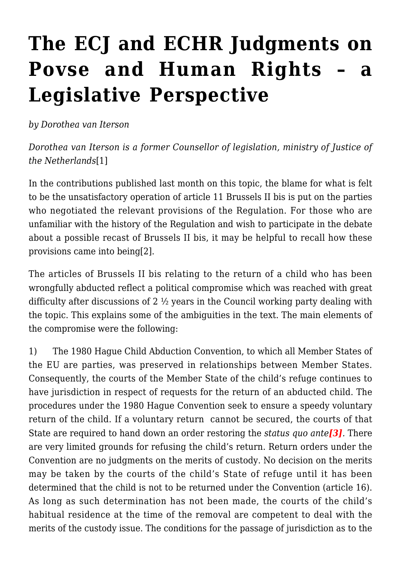## **[The ECJ and ECHR Judgments on](https://conflictoflaws.net/2013/the-ecj-and-echr-judgments-on-povse-and-human-rights-a-legislative-perspective/) [Povse and Human Rights – a](https://conflictoflaws.net/2013/the-ecj-and-echr-judgments-on-povse-and-human-rights-a-legislative-perspective/) [Legislative Perspective](https://conflictoflaws.net/2013/the-ecj-and-echr-judgments-on-povse-and-human-rights-a-legislative-perspective/)**

*by Dorothea van Iterson*

*Dorothea van Iterson is a former Counsellor of legislation, ministry of Justice of the Netherlands*[\[1\]](https://conflictoflaws.de/wp-admin/post-new.php#_ftn1)

In the contributions published last month on this topic, the blame for what is felt to be the unsatisfactory operation of article 11 Brussels II bis is put on the parties who negotiated the relevant provisions of the Regulation. For those who are unfamiliar with the history of the Regulation and wish to participate in the debate about a possible recast of Brussels II bis, it may be helpful to recall how these provisions came into bein[g\[2\].](https://conflictoflaws.de/wp-admin/post-new.php#_ftn2)

The articles of Brussels II bis relating to the return of a child who has been wrongfully abducted reflect a political compromise which was reached with great difficulty after discussions of 2 ½ years in the Council working party dealing with the topic. This explains some of the ambiguities in the text. The main elements of the compromise were the following:

1) The 1980 Hague Child Abduction Convention, to which all Member States of the EU are parties, was preserved in relationships between Member States. Consequently, the courts of the Member State of the child's refuge continues to have jurisdiction in respect of requests for the return of an abducted child. The procedures under the 1980 Hague Convention seek to ensure a speedy voluntary return of the child. If a voluntary return cannot be secured, the courts of that State are required to hand down an order restoring the *status quo ante[\[3\]](https://conflictoflaws.de/wp-admin/post-new.php#_ftn3).* There are very limited grounds for refusing the child's return. Return orders under the Convention are no judgments on the merits of custody. No decision on the merits may be taken by the courts of the child's State of refuge until it has been determined that the child is not to be returned under the Convention (article 16). As long as such determination has not been made, the courts of the child's habitual residence at the time of the removal are competent to deal with the merits of the custody issue. The conditions for the passage of jurisdiction as to the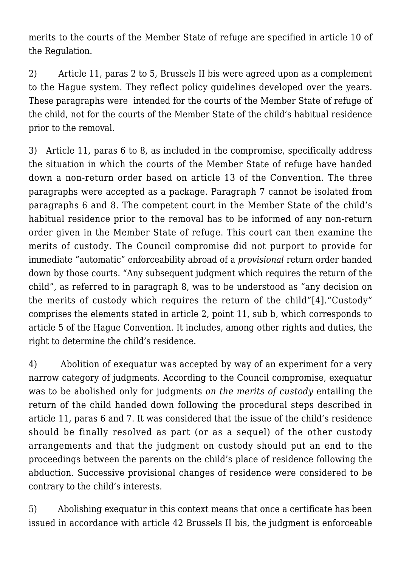merits to the courts of the Member State of refuge are specified in article 10 of the Regulation.

2) Article 11, paras 2 to 5, Brussels II bis were agreed upon as a complement to the Hague system. They reflect policy guidelines developed over the years. These paragraphs were intended for the courts of the Member State of refuge of the child, not for the courts of the Member State of the child's habitual residence prior to the removal.

3) Article 11, paras 6 to 8, as included in the compromise, specifically address the situation in which the courts of the Member State of refuge have handed down a non-return order based on article 13 of the Convention. The three paragraphs were accepted as a package. Paragraph 7 cannot be isolated from paragraphs 6 and 8. The competent court in the Member State of the child's habitual residence prior to the removal has to be informed of any non-return order given in the Member State of refuge. This court can then examine the merits of custody. The Council compromise did not purport to provide for immediate "automatic" enforceability abroad of a *provisional* return order handed down by those courts. "Any subsequent judgment which requires the return of the child", as referred to in paragraph 8, was to be understood as "any decision on the merits of custody which requires the return of the child"[\[4\].](https://conflictoflaws.de/wp-admin/post-new.php#_ftn4)"Custody" comprises the elements stated in article 2, point 11, sub b, which corresponds to article 5 of the Hague Convention. It includes, among other rights and duties, the right to determine the child's residence.

4) Abolition of exequatur was accepted by way of an experiment for a very narrow category of judgments. According to the Council compromise, exequatur was to be abolished only for judgments *on the merits of custody* entailing the return of the child handed down following the procedural steps described in article 11, paras 6 and 7. It was considered that the issue of the child's residence should be finally resolved as part (or as a sequel) of the other custody arrangements and that the judgment on custody should put an end to the proceedings between the parents on the child's place of residence following the abduction. Successive provisional changes of residence were considered to be contrary to the child's interests.

5) Abolishing exequatur in this context means that once a certificate has been issued in accordance with article 42 Brussels II bis, the judgment is enforceable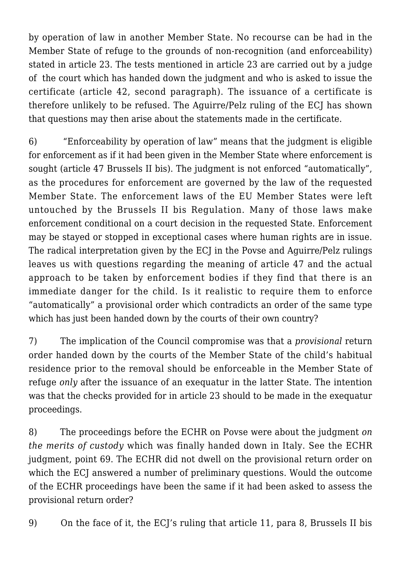by operation of law in another Member State. No recourse can be had in the Member State of refuge to the grounds of non-recognition (and enforceability) stated in article 23. The tests mentioned in article 23 are carried out by a judge of the court which has handed down the judgment and who is asked to issue the certificate (article 42, second paragraph). The issuance of a certificate is therefore unlikely to be refused. The Aguirre/Pelz ruling of the ECJ has shown that questions may then arise about the statements made in the certificate.

6) "Enforceability by operation of law" means that the judgment is eligible for enforcement as if it had been given in the Member State where enforcement is sought (article 47 Brussels II bis). The judgment is not enforced "automatically", as the procedures for enforcement are governed by the law of the requested Member State. The enforcement laws of the EU Member States were left untouched by the Brussels II bis Regulation. Many of those laws make enforcement conditional on a court decision in the requested State. Enforcement may be stayed or stopped in exceptional cases where human rights are in issue. The radical interpretation given by the ECJ in the Povse and Aguirre/Pelz rulings leaves us with questions regarding the meaning of article 47 and the actual approach to be taken by enforcement bodies if they find that there is an immediate danger for the child. Is it realistic to require them to enforce "automatically" a provisional order which contradicts an order of the same type which has just been handed down by the courts of their own country?

7) The implication of the Council compromise was that a *provisional* return order handed down by the courts of the Member State of the child's habitual residence prior to the removal should be enforceable in the Member State of refuge *only* after the issuance of an exequatur in the latter State. The intention was that the checks provided for in article 23 should to be made in the exequatur proceedings.

8) The proceedings before the ECHR on Povse were about the judgment *on the merits of custody* which was finally handed down in Italy. See the ECHR judgment, point 69. The ECHR did not dwell on the provisional return order on which the ECJ answered a number of preliminary questions. Would the outcome of the ECHR proceedings have been the same if it had been asked to assess the provisional return order?

9) On the face of it, the ECJ's ruling that article 11, para 8, Brussels II bis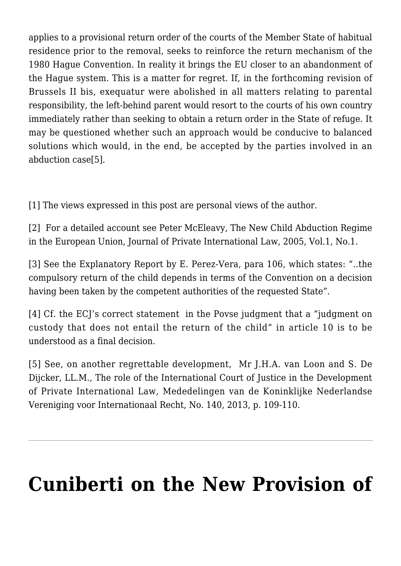applies to a provisional return order of the courts of the Member State of habitual residence prior to the removal, seeks to reinforce the return mechanism of the 1980 Hague Convention. In reality it brings the EU closer to an abandonment of the Hague system. This is a matter for regret. If, in the forthcoming revision of Brussels II bis, exequatur were abolished in all matters relating to parental responsibility, the left-behind parent would resort to the courts of his own country immediately rather than seeking to obtain a return order in the State of refuge. It may be questioned whether such an approach would be conducive to balanced solutions which would, in the end, be accepted by the parties involved in an abduction cas[e\[5\]](https://conflictoflaws.de/wp-admin/post-new.php#_ftn5).

[\[1\]](https://conflictoflaws.de/wp-admin/post-new.php#_ftnref1) The views expressed in this post are personal views of the author.

[\[2\]](https://conflictoflaws.de/wp-admin/post-new.php#_ftnref2) For a detailed account see Peter McEleavy, The New Child Abduction Regime in the European Union, Journal of Private International Law, 2005, Vol.1, No.1.

[\[3\]](https://conflictoflaws.de/wp-admin/post-new.php#_ftnref3) See the Explanatory Report by E. Perez-Vera, para 106, which states: "..the compulsory return of the child depends in terms of the Convention on a decision having been taken by the competent authorities of the requested State".

[\[4\]](https://conflictoflaws.de/wp-admin/post-new.php#_ftnref4) Cf. the ECJ's correct statement in the Povse judgment that a "judgment on custody that does not entail the return of the child" in article 10 is to be understood as a final decision.

[\[5\]](https://conflictoflaws.de/wp-admin/post-new.php#_ftnref5) See, on another regrettable development, Mr J.H.A. van Loon and S. De Dijcker, LL.M., The role of the International Court of Justice in the Development of Private International Law, Mededelingen van de Koninklijke Nederlandse Vereniging voor Internationaal Recht, No. 140, 2013, p. 109-110.

## **[Cuniberti on the New Provision of](https://conflictoflaws.net/2013/cuniberti-on-the-new-provision-of-the-unidroit-principles-on-contracts-infringing-mandatory-rules/)**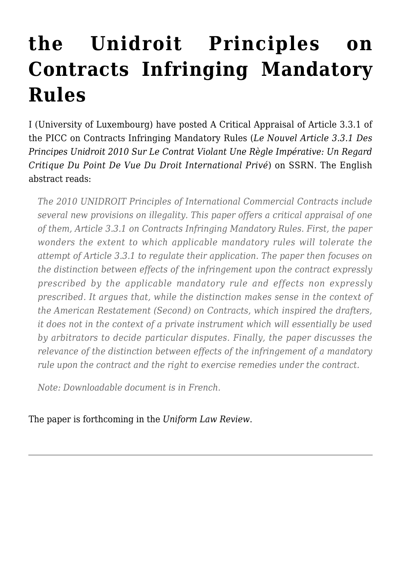## **[the Unidroit Principles on](https://conflictoflaws.net/2013/cuniberti-on-the-new-provision-of-the-unidroit-principles-on-contracts-infringing-mandatory-rules/) [Contracts Infringing Mandatory](https://conflictoflaws.net/2013/cuniberti-on-the-new-provision-of-the-unidroit-principles-on-contracts-infringing-mandatory-rules/) [Rules](https://conflictoflaws.net/2013/cuniberti-on-the-new-provision-of-the-unidroit-principles-on-contracts-infringing-mandatory-rules/)**

I (University of Luxembourg) have posted A Critical Appraisal of Article 3.3.1 of the PICC on Contracts Infringing Mandatory Rules (*[Le Nouvel Article 3.3.1 Des](http://papers.ssrn.com/sol3/papers.cfm?abstract_id=2337943) [Principes Unidroit 2010 Sur Le Contrat Violant Une Règle Impérative: Un Regard](http://papers.ssrn.com/sol3/papers.cfm?abstract_id=2337943) [Critique Du Point De Vue Du Droit International Privé](http://papers.ssrn.com/sol3/papers.cfm?abstract_id=2337943)*) on SSRN. The English abstract reads:

*The 2010 UNIDROIT Principles of International Commercial Contracts include several new provisions on illegality. This paper offers a critical appraisal of one of them, Article 3.3.1 on Contracts Infringing Mandatory Rules. First, the paper wonders the extent to which applicable mandatory rules will tolerate the attempt of Article 3.3.1 to regulate their application. The paper then focuses on the distinction between effects of the infringement upon the contract expressly prescribed by the applicable mandatory rule and effects non expressly prescribed. It argues that, while the distinction makes sense in the context of the American Restatement (Second) on Contracts, which inspired the drafters, it does not in the context of a private instrument which will essentially be used by arbitrators to decide particular disputes. Finally, the paper discusses the relevance of the distinction between effects of the infringement of a mandatory rule upon the contract and the right to exercise remedies under the contract.*

*Note: Downloadable document is in French.*

The paper is forthcoming in the *Uniform Law Review*.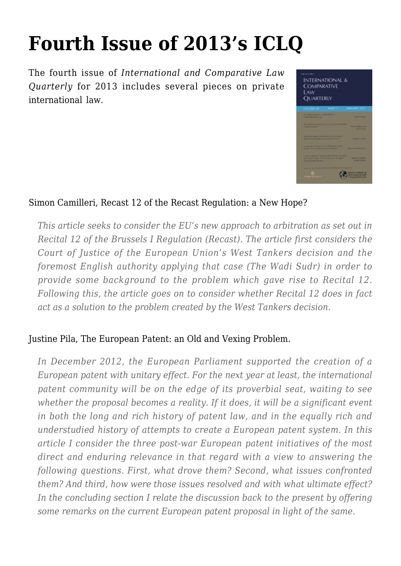## **[Fourth Issue of 2013's ICLQ](https://conflictoflaws.net/2013/fourth-issue-of-2013s-iclq/)**

The [fourth issue](http://journals.cambridge.org/action/displayIssue?jid=ILQ&volumeId=62&seriesId=0&issueId=04) of *International and Comparative Law Quarterly* for 2013 includes several pieces on private international law.



#### Simon Camilleri, Recast 12 of the Recast Regulation: a New Hope?

*This article seeks to consider the EU's new approach to arbitration as set out in Recital 12 of the Brussels I Regulation (Recast). The article first considers the Court of Justice of the European Union's West Tankers decision and the foremost English authority applying that case (The Wadi Sudr) in order to provide some background to the problem which gave rise to Recital 12. Following this, the article goes on to consider whether Recital 12 does in fact act as a solution to the problem created by the West Tankers decision.*

#### Justine Pila, The European Patent: an Old and Vexing Problem.

*In December 2012, the European Parliament supported the creation of a European patent with unitary effect. For the next year at least, the international patent community will be on the edge of its proverbial seat, waiting to see whether the proposal becomes a reality. If it does, it will be a significant event in both the long and rich history of patent law, and in the equally rich and understudied history of attempts to create a European patent system. In this article I consider the three post-war European patent initiatives of the most direct and enduring relevance in that regard with a view to answering the following questions. First, what drove them? Second, what issues confronted them? And third, how were those issues resolved and with what ultimate effect? In the concluding section I relate the discussion back to the present by offering some remarks on the current European patent proposal in light of the same.*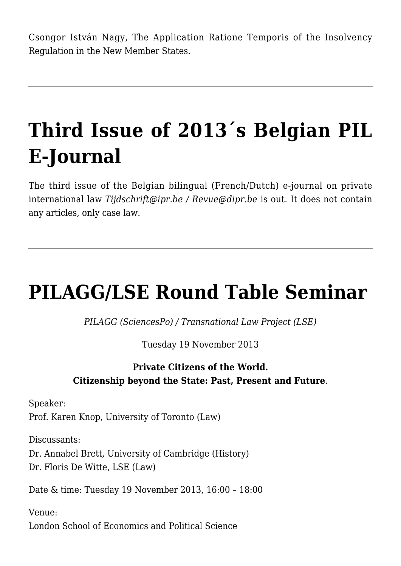Csongor István Nagy, The Application Ratione Temporis of the Insolvency Regulation in the New Member States.

## **[Third Issue of 2013´s Belgian PIL](https://conflictoflaws.net/2013/third-issue-of-2013s-belgian-pil-e-journal/) [E-Journal](https://conflictoflaws.net/2013/third-issue-of-2013s-belgian-pil-e-journal/)**

The [third issue](http://www.ipr.be/tijdschrift/tijdschrift48.pdf) of the Belgian bilingual (French/Dutch) e-journal on private international law *Tijdschrift@ipr.be / Revue@dipr.be* is out. It does not contain any articles, only case law.

## **[PILAGG/LSE Round Table Seminar](https://conflictoflaws.net/2013/pilagglse-round-table-seminar/)**

*PILAGG (SciencesPo) / Transnational Law Project (LSE)*

Tuesday 19 November 2013

#### **Private Citizens of the World. Citizenship beyond the State: Past, Present and Future**.

Speaker: Prof. Karen Knop, University of Toronto (Law)

Discussants: Dr. Annabel Brett, University of Cambridge (History) Dr. Floris De Witte, LSE (Law)

Date & time: Tuesday 19 November 2013, 16:00 – 18:00

Venue: London School of Economics and Political Science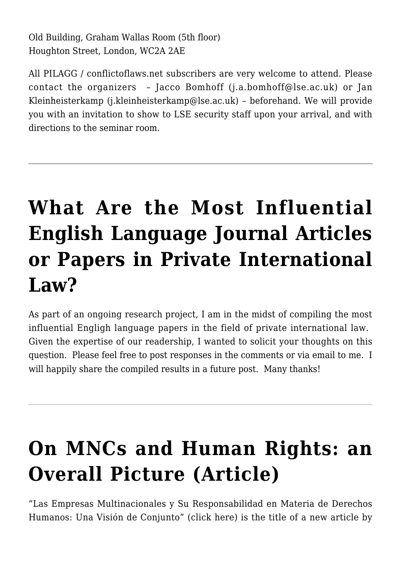Old Building, Graham Wallas Room (5th floor) Houghton Street, London, WC2A 2AE

All PILAGG / [conflictoflaws.net](https://conflictoflaws.de/) subscribers are very welcome to attend. Please contact the organizers – Jacco Bomhoff ([j.a.bomhoff@lse.ac.uk\)](mailto:j.a.bomhoff@lse.ac.uk) or Jan Kleinheisterkamp ([j.kleinheisterkamp@lse.ac.uk\)](mailto:j.kleinheisterkamp@lse.ac.uk) – beforehand. We will provide you with an invitation to show to LSE security staff upon your arrival, and with directions to the seminar room.

#### **[What Are the Most Influential](https://conflictoflaws.net/2013/what-are-the-most-influential-english-language-journal-articles-or-papers-in-private-international-law/) [English Language Journal Articles](https://conflictoflaws.net/2013/what-are-the-most-influential-english-language-journal-articles-or-papers-in-private-international-law/) [or Papers in Private International](https://conflictoflaws.net/2013/what-are-the-most-influential-english-language-journal-articles-or-papers-in-private-international-law/) [Law?](https://conflictoflaws.net/2013/what-are-the-most-influential-english-language-journal-articles-or-papers-in-private-international-law/)**

As part of an ongoing research project, I am in the midst of compiling the most influential Engligh language papers in the field of private international law. Given the expertise of our readership, I wanted to solicit your thoughts on this question. Please feel free to post responses in the comments or via email to me. I will happily share the compiled results in a future post. Many thanks!

#### **[On MNCs and Human Rights: an](https://conflictoflaws.net/2013/on-mncs-and-human-rights-an-overall-picture-article/) [Overall Picture \(Article\)](https://conflictoflaws.net/2013/on-mncs-and-human-rights-an-overall-picture-article/)**

"Las Empresas Multinacionales y Su Responsabilidad en Materia de Derechos Humanos: Una Visión de Conjunto" (click [here](https://conflictoflaws.de/News/2013/10/Ponencia-AEPDIRI-Consolider.pdf)) is the title of a new article by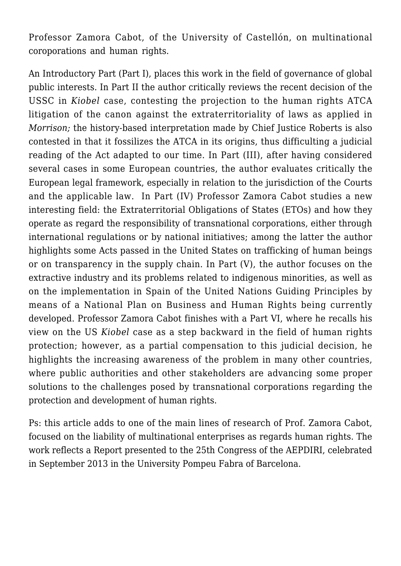Professor Zamora Cabot, of the University of Castellón, on multinational coroporations and human rights.

An Introductory Part (Part I), places this work in the field of governance of global public interests. In Part II the author critically reviews the recent decision of the USSC in *Kiobel* case, contesting the projection to the human rights ATCA litigation of the canon against the extraterritoriality of laws as applied in *Morrison;* the history-based interpretation made by Chief Justice Roberts is also contested in that it fossilizes the ATCA in its origins, thus difficulting a judicial reading of the Act adapted to our time. In Part (III), after having considered several cases in some European countries, the author evaluates critically the European legal framework, especially in relation to the jurisdiction of the Courts and the applicable law. In Part (IV) Professor Zamora Cabot studies a new interesting field: the Extraterritorial Obligations of States (ETOs) and how they operate as regard the responsibility of transnational corporations, either through international regulations or by national initiatives; among the latter the author highlights some Acts passed in the United States on trafficking of human beings or on transparency in the supply chain. In Part (V), the author focuses on the extractive industry and its problems related to indigenous minorities, as well as on the implementation in Spain of the United Nations Guiding Principles by means of a National Plan on Business and Human Rights being currently developed. Professor Zamora Cabot finishes with a Part VI, where he recalls his view on the US *Kiobel* case as a step backward in the field of human rights protection; however, as a partial compensation to this judicial decision, he highlights the increasing awareness of the problem in many other countries, where public authorities and other stakeholders are advancing some proper solutions to the challenges posed by transnational corporations regarding the protection and development of human rights.

Ps: this article adds to one of the main lines of research of Prof. Zamora Cabot, focused on the liability of multinational enterprises as regards human rights. The work reflects a Report presented to the 25th Congress of the AEPDIRI, celebrated in September 2013 in the University Pompeu Fabra of Barcelona.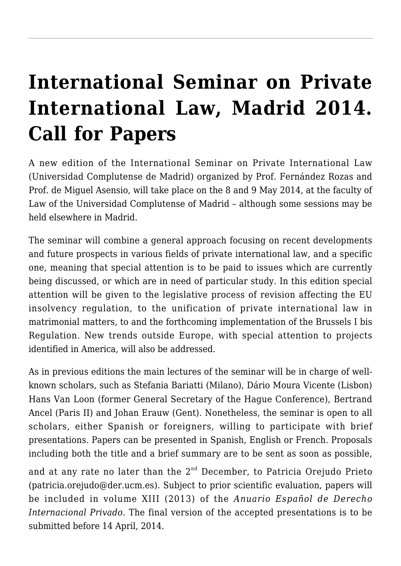**[International Seminar on Private](https://conflictoflaws.net/2013/international-seminar-on-private-international-law-madrid-2014-call-for-papers/) [International Law, Madrid 2014.](https://conflictoflaws.net/2013/international-seminar-on-private-international-law-madrid-2014-call-for-papers/) [Call for Papers](https://conflictoflaws.net/2013/international-seminar-on-private-international-law-madrid-2014-call-for-papers/)**

A new edition of the International Seminar on Private International Law (Universidad Complutense de Madrid) organized by Prof. Fernández Rozas and Prof. de Miguel Asensio, will take place on the 8 and 9 May 2014, at the faculty of Law of the Universidad Complutense of Madrid – although some sessions may be held elsewhere in Madrid.

The seminar will combine a general approach focusing on recent developments and future prospects in various fields of private international law, and a specific one, meaning that special attention is to be paid to issues which are currently being discussed, or which are in need of particular study. In this edition special attention will be given to the legislative process of revision affecting the EU insolvency regulation, to the unification of private international law in matrimonial matters, to and the forthcoming implementation of the Brussels I bis Regulation. New trends outside Europe, with special attention to projects identified in America, will also be addressed.

As in previous editions the main lectures of the seminar will be in charge of wellknown scholars, such as Stefania Bariatti (Milano), Dário Moura Vicente (Lisbon) Hans Van Loon (former General Secretary of the Hague Conference), Bertrand Ancel (Paris II) and Johan Erauw (Gent). Nonetheless, the seminar is open to all scholars, either Spanish or foreigners, willing to participate with brief presentations. Papers can be presented in Spanish, English or French. Proposals including both the title and a brief summary are to be sent as soon as possible,

and at any rate no later than the  $2<sup>nd</sup>$  December, to Patricia Orejudo Prieto [\(patricia.orejudo@der.ucm.es](mailto:patricia.orejudo@der.ucm.es)). Subject to prior scientific evaluation, papers will be included in volume XIII (2013) of the *Anuario Español de Derecho Internacional Privado*. The final version of the accepted presentations is to be submitted before 14 April, 2014.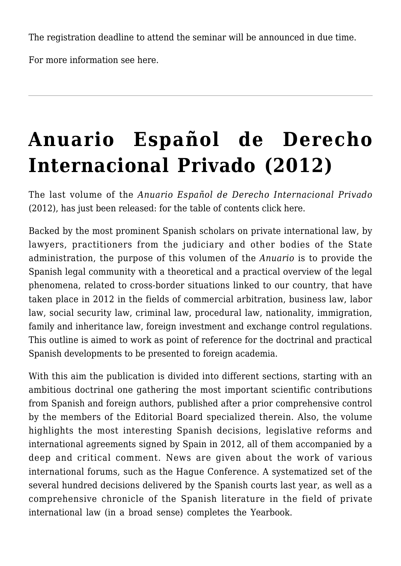The registration deadline to attend the seminar will be announced in due time.

For more information see [here.](https://www.ucm.es/derinternacional/viii-seminario-internacional-de-derecho-internacional-privado)

# **[Anuario Español de Derecho](https://conflictoflaws.net/2013/anuario-espanol-de-derecho-internacional-privado-2012/) [Internacional Privado \(2012\)](https://conflictoflaws.net/2013/anuario-espanol-de-derecho-internacional-privado-2012/)**

The last volume of the *Anuario Español de Derecho Internacional Privado* (2012), has just been released: for the table of contents click [here.](https://conflictoflaws.de/News/2013/10/AEDIPr-2012.pdf)

Backed by the most prominent Spanish scholars on private international law, by lawyers, practitioners from the judiciary and other bodies of the State administration, the purpose of this volumen of the *Anuario* is to provide the Spanish legal community with a theoretical and a practical overview of the legal phenomena, related to cross-border situations linked to our country, that have taken place in 2012 in the fields of commercial arbitration, business law, labor law, social security law, criminal law, procedural law, nationality, immigration, family and inheritance law, foreign investment and exchange control regulations. This outline is aimed to work as point of reference for the doctrinal and practical Spanish developments to be presented to foreign academia.

With this aim the publication is divided into different sections, starting with an ambitious doctrinal one gathering the most important scientific contributions from Spanish and foreign authors, published after a prior comprehensive control by the members of the Editorial Board specialized therein. Also, the volume highlights the most interesting Spanish decisions, legislative reforms and international agreements signed by Spain in 2012, all of them accompanied by a deep and critical comment. News are given about the work of various international forums, such as the Hague Conference. A systematized set of the several hundred decisions delivered by the Spanish courts last year, as well as a comprehensive chronicle of the Spanish literature in the field of private international law (in a broad sense) completes the Yearbook.